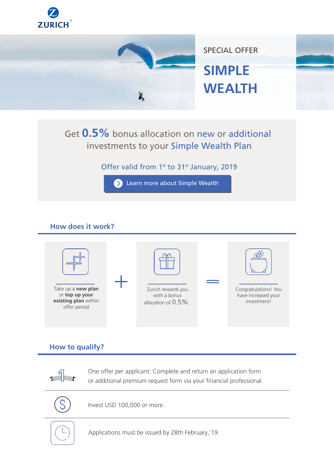



# Get **0.5%** bonus allocation on new or additional investments to your Simple Wealth Plan

Offer valid from 1<sup>st</sup> to 31<sup>st</sup> January, 2019



# **How does it work?**



## **How to qualify?**



One offer per applicant. Complete and return an application form or additional premium request form via your financial professional.



Invest USD 100,000 or more.

Applications must be issued by 28th February,'19.